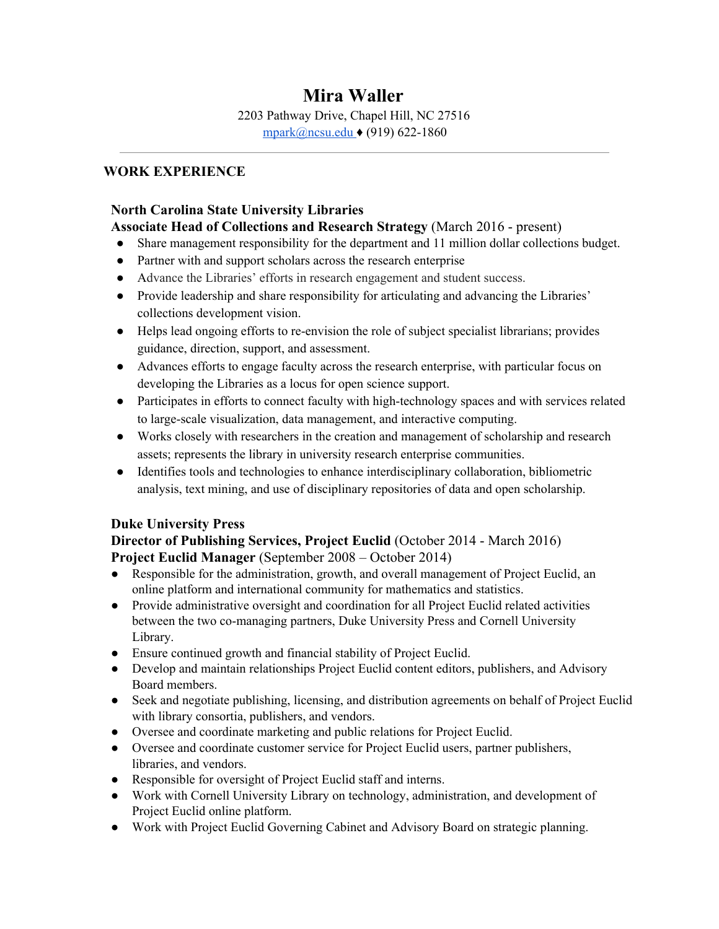# **Mira Waller**

2203 Pathway Drive, Chapel Hill, NC 27516 [mpark@ncsu.edu](mailto:mira.waller@gmail.com) ♦ (919) 622-186[0](mailto:mira.waller@gmail.com)

#### **WORK EXPERIENCE**

#### **North Carolina State University Libraries**

# Associate Head of Collections and Research Strategy (March 2016 - present)<br>● Share management responsibility for the department and 11 million dollar collection

- Share management responsibility for the department and 11 million dollar collections budget.
- Partner with and support scholars across the research enterprise
- Advance the Libraries' efforts in research engagement and student success.
- Provide leadership and share responsibility for articulating and advancing the Libraries' collections development vision.
- Helps lead ongoing efforts to re-envision the role of subject specialist librarians; provides guidance, direction, support, and assessment.
- Advances efforts to engage faculty across the research enterprise, with particular focus on developing the Libraries as a locus for open science support.
- Participates in efforts to connect faculty with high-technology spaces and with services related to large-scale visualization, data management, and interactive computing.
- Works closely with researchers in the creation and management of scholarship and research assets; represents the library in university research enterprise communities.
- Identifies tools and technologies to enhance interdisciplinary collaboration, bibliometric analysis, text mining, and use of disciplinary repositories of data and open scholarship.

#### **Duke University Press**

## **Director of Publishing Services, Project Euclid** (October 2014 - March 2016) **Project Euclid Manager** (September 2008 – October 2014)

- Responsible for the administration, growth, and overall management of Project Euclid, an online platform and international community for mathematics and statistics.
- Provide administrative oversight and coordination for all Project Euclid related activities between the two co-managing partners, Duke University Press and Cornell University Library.
- Ensure continued growth and financial stability of Project Euclid.
- Develop and maintain relationships Project Euclid content editors, publishers, and Advisory Board members.
- Seek and negotiate publishing, licensing, and distribution agreements on behalf of Project Euclid with library consortia, publishers, and vendors.
- Oversee and coordinate marketing and public relations for Project Euclid.
- Oversee and coordinate customer service for Project Euclid users, partner publishers, libraries, and vendors.
- Responsible for oversight of Project Euclid staff and interns.
- Work with Cornell University Library on technology, administration, and development of Project Euclid online platform.
- Work with Project Euclid Governing Cabinet and Advisory Board on strategic planning.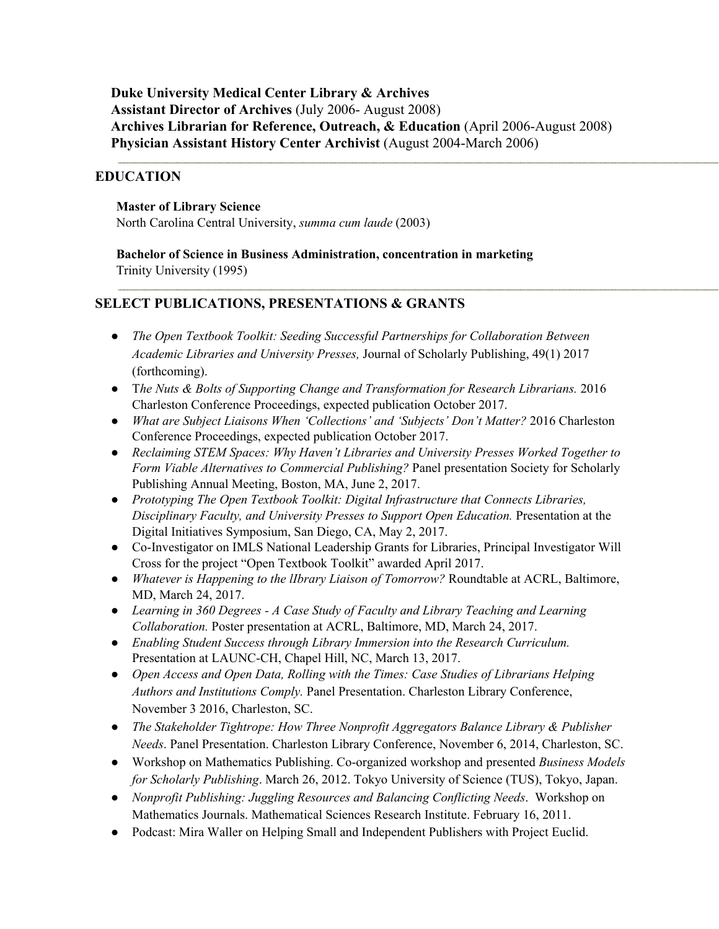**Duke University Medical Center Library & Archives Assistant Director of Archives** (July 2006- August 2008) **Archives Librarian for Reference, Outreach, & Education** (April 2006-August 2008) **Physician Assistant History Center Archivist** (August 2004-March 2006)

#### **EDUCATION**

#### **Master of Library Science**

North Carolina Central University, *summa cum laude* (2003)

**Bachelor of Science in Business Administration, concentration in marketing** Trinity University (1995)

#### **SELECT PUBLICATIONS, PRESENTATIONS & GRANTS**

- *● The Open Textbook Toolkit: Seeding Successful Partnerships for Collaboration Between Academic Libraries and University Presses,* Journal of Scholarly Publishing, 49(1) 2017 (forthcoming).
- T*he Nuts & Bolts of Supporting Change and Transformation for Research Librarians.* 2016 Charleston Conference Proceedings, expected publication October 2017.
- *What are Subject Liaisons When 'Collections' and 'Subjects' Don't Matter?* 2016 Charleston Conference Proceedings, expected publication October 2017.
- *● Reclaiming STEM Spaces: Why Haven't Libraries and University Presses Worked Together to Form Viable Alternatives to Commercial Publishing?* Panel presentation Society for Scholarly Publishing Annual Meeting, Boston, MA, June 2, 2017.
- *Prototyping The Open Textbook Toolkit: Digital [Infrastructure](http://digital.sandiego.edu/symposium/2017/2017/12) that Connects Libraries, [Disciplinary](http://digital.sandiego.edu/symposium/2017/2017/12) Faculty, and University Presses to Support Open Education.* Presentation at the Digital Initiatives Symposium, San Diego, CA, May 2, 2017.
- Co-Investigator on IMLS National Leadership Grants for Libraries, Principal Investigator Will Cross for the project "Open Textbook Toolkit" awarded April 2017.
- *Whatever is Happening to the lIbrary Liaison of Tomorrow?* Roundtable at ACRL, Baltimore, MD, March 24, 2017.
- *Learning in 360 Degrees - A Case Study of Faculty and Library Teaching and Learning Collaboration.* Poster presentation at ACRL, Baltimore, MD, March 24, 2017.
- *Enabling Student Success through Library Immersion into the Research Curriculum.* Presentation at LAUNC-CH, Chapel Hill, NC, March 13, 2017.
- *Open Access and Open Data, Rolling with the Times: Case Studies of Librarians Helping Authors and Institutions Comply.* Panel Presentation. Charleston Library Conference, November 3 2016, Charleston, SC.
- *The Stakeholder Tightrope: How Three Nonprofit Aggregators Balance Library & Publisher Needs*. Panel Presentation. Charleston Library Conference, November 6, 2014, Charleston, SC.
- Workshop on Mathematics Publishing. Co-organized workshop and presented *Business Models for Scholarly Publishing*. March 26, 2012. Tokyo University of Science (TUS), Tokyo, Japan.
- *Nonprofit Publishing: Juggling Resources and Balancing Conflicting Needs*. Workshop on Mathematics Journals. Mathematical Sciences Research Institute. February 16, 2011.
- Podcast: Mira Waller on Helping Small and Independent Publishers with Project Euclid.